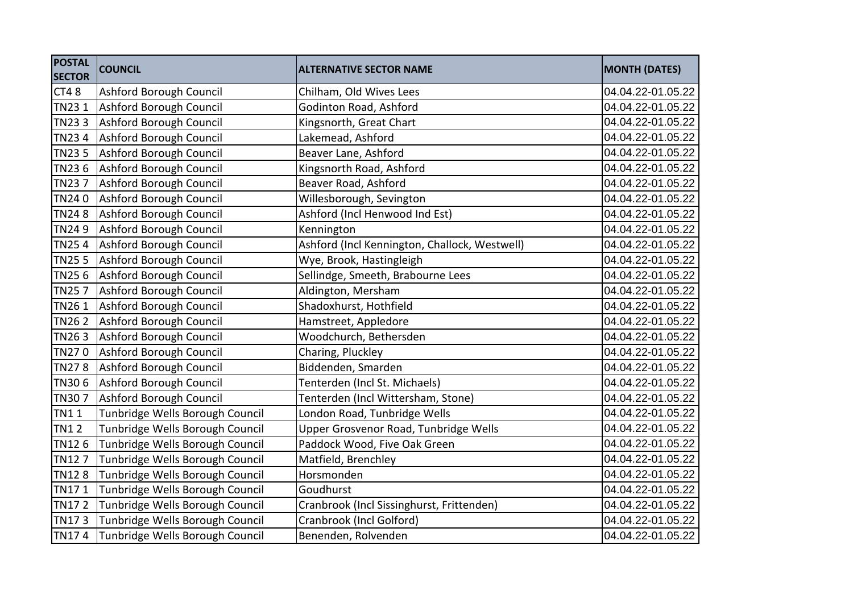| <b>POSTAL</b><br><b>SECTOR</b> | <b>COUNCIL</b>                         | <b>ALTERNATIVE SECTOR NAME</b>                | <b>MONTH (DATES)</b> |
|--------------------------------|----------------------------------------|-----------------------------------------------|----------------------|
| <b>CT48</b>                    | Ashford Borough Council                | Chilham, Old Wives Lees                       | 04.04.22-01.05.22    |
| TN231                          | Ashford Borough Council                | Godinton Road, Ashford                        | 04.04.22-01.05.22    |
| TN233                          | Ashford Borough Council                | Kingsnorth, Great Chart                       | 04.04.22-01.05.22    |
| TN234                          | Ashford Borough Council                | Lakemead, Ashford                             | 04.04.22-01.05.22    |
| TN235                          | Ashford Borough Council                | Beaver Lane, Ashford                          | 04.04.22-01.05.22    |
| TN236                          | Ashford Borough Council                | Kingsnorth Road, Ashford                      | 04.04.22-01.05.22    |
| TN237                          | Ashford Borough Council                | Beaver Road, Ashford                          | 04.04.22-01.05.22    |
| TN240                          | Ashford Borough Council                | Willesborough, Sevington                      | 04.04.22-01.05.22    |
| <b>TN248</b>                   | Ashford Borough Council                | Ashford (Incl Henwood Ind Est)                | 04.04.22-01.05.22    |
| TN249                          | Ashford Borough Council                | Kennington                                    | 04.04.22-01.05.22    |
| TN254                          | Ashford Borough Council                | Ashford (Incl Kennington, Challock, Westwell) | 04.04.22-01.05.22    |
| TN255                          | Ashford Borough Council                | Wye, Brook, Hastingleigh                      | 04.04.22-01.05.22    |
| TN256                          | Ashford Borough Council                | Sellindge, Smeeth, Brabourne Lees             | 04.04.22-01.05.22    |
| TN257                          | Ashford Borough Council                | Aldington, Mersham                            | 04.04.22-01.05.22    |
| TN261                          | Ashford Borough Council                | Shadoxhurst, Hothfield                        | 04.04.22-01.05.22    |
| TN262                          | Ashford Borough Council                | Hamstreet, Appledore                          | 04.04.22-01.05.22    |
| TN263                          | Ashford Borough Council                | Woodchurch, Bethersden                        | 04.04.22-01.05.22    |
| TN270                          | Ashford Borough Council                | Charing, Pluckley                             | 04.04.22-01.05.22    |
| <b>TN278</b>                   | Ashford Borough Council                | Biddenden, Smarden                            | 04.04.22-01.05.22    |
| TN306                          | Ashford Borough Council                | Tenterden (Incl St. Michaels)                 | 04.04.22-01.05.22    |
| TN307                          | Ashford Borough Council                | Tenterden (Incl Wittersham, Stone)            | 04.04.22-01.05.22    |
| <b>TN11</b>                    | Tunbridge Wells Borough Council        | London Road, Tunbridge Wells                  | 04.04.22-01.05.22    |
| <b>TN12</b>                    | Tunbridge Wells Borough Council        | Upper Grosvenor Road, Tunbridge Wells         | 04.04.22-01.05.22    |
| TN126                          | Tunbridge Wells Borough Council        | Paddock Wood, Five Oak Green                  | 04.04.22-01.05.22    |
| TN127                          | Tunbridge Wells Borough Council        | Matfield, Brenchley                           | 04.04.22-01.05.22    |
| <b>TN128</b>                   | Tunbridge Wells Borough Council        | Horsmonden                                    | 04.04.22-01.05.22    |
| TN171                          | Tunbridge Wells Borough Council        | Goudhurst                                     | 04.04.22-01.05.22    |
| <b>TN172</b>                   | Tunbridge Wells Borough Council        | Cranbrook (Incl Sissinghurst, Frittenden)     | 04.04.22-01.05.22    |
| TN173                          | Tunbridge Wells Borough Council        | Cranbrook (Incl Golford)                      | 04.04.22-01.05.22    |
|                                | TN17 4 Tunbridge Wells Borough Council | Benenden, Rolvenden                           | 04.04.22-01.05.22    |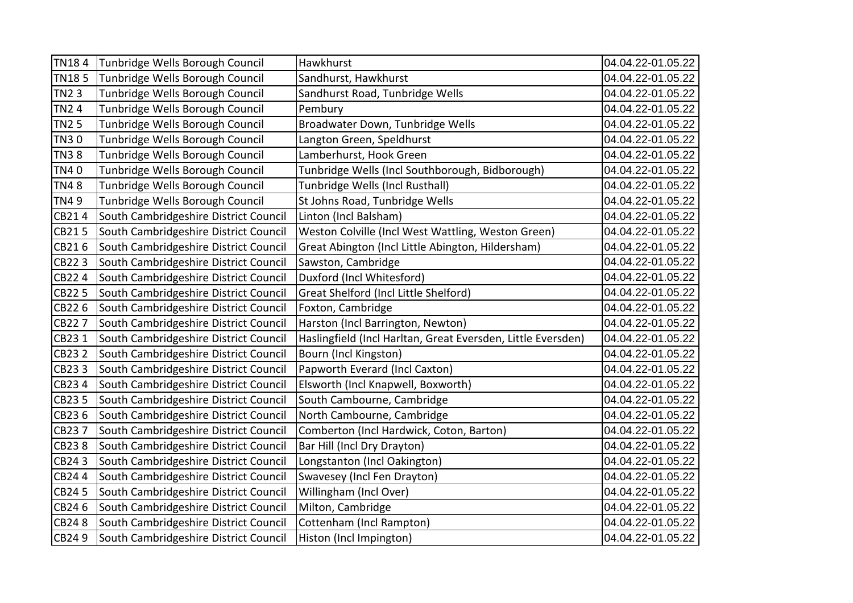| <b>TN184</b> | Tunbridge Wells Borough Council       | Hawkhurst                                                    | 04.04.22-01.05.22 |
|--------------|---------------------------------------|--------------------------------------------------------------|-------------------|
| <b>TN185</b> | Tunbridge Wells Borough Council       | Sandhurst, Hawkhurst                                         | 04.04.22-01.05.22 |
| <b>TN23</b>  | Tunbridge Wells Borough Council       | Sandhurst Road, Tunbridge Wells                              | 04.04.22-01.05.22 |
| <b>TN24</b>  | Tunbridge Wells Borough Council       | Pembury                                                      | 04.04.22-01.05.22 |
| <b>TN25</b>  | Tunbridge Wells Borough Council       | Broadwater Down, Tunbridge Wells                             | 04.04.22-01.05.22 |
| <b>TN30</b>  | Tunbridge Wells Borough Council       | Langton Green, Speldhurst                                    | 04.04.22-01.05.22 |
| <b>TN38</b>  | Tunbridge Wells Borough Council       | Lamberhurst, Hook Green                                      | 04.04.22-01.05.22 |
| <b>TN40</b>  | Tunbridge Wells Borough Council       | Tunbridge Wells (Incl Southborough, Bidborough)              | 04.04.22-01.05.22 |
| <b>TN48</b>  | Tunbridge Wells Borough Council       | Tunbridge Wells (Incl Rusthall)                              | 04.04.22-01.05.22 |
| <b>TN49</b>  | Tunbridge Wells Borough Council       | St Johns Road, Tunbridge Wells                               | 04.04.22-01.05.22 |
| CB214        | South Cambridgeshire District Council | Linton (Incl Balsham)                                        | 04.04.22-01.05.22 |
| CB215        | South Cambridgeshire District Council | Weston Colville (Incl West Wattling, Weston Green)           | 04.04.22-01.05.22 |
| CB216        | South Cambridgeshire District Council | Great Abington (Incl Little Abington, Hildersham)            | 04.04.22-01.05.22 |
| CB223        | South Cambridgeshire District Council | Sawston, Cambridge                                           | 04.04.22-01.05.22 |
| CB224        | South Cambridgeshire District Council | Duxford (Incl Whitesford)                                    | 04.04.22-01.05.22 |
| CB22 5       | South Cambridgeshire District Council | Great Shelford (Incl Little Shelford)                        | 04.04.22-01.05.22 |
| CB226        | South Cambridgeshire District Council | Foxton, Cambridge                                            | 04.04.22-01.05.22 |
| CB227        | South Cambridgeshire District Council | Harston (Incl Barrington, Newton)                            | 04.04.22-01.05.22 |
| CB231        | South Cambridgeshire District Council | Haslingfield (Incl Harltan, Great Eversden, Little Eversden) | 04.04.22-01.05.22 |
| CB23 2       | South Cambridgeshire District Council | Bourn (Incl Kingston)                                        | 04.04.22-01.05.22 |
| CB233        | South Cambridgeshire District Council | Papworth Everard (Incl Caxton)                               | 04.04.22-01.05.22 |
| CB234        | South Cambridgeshire District Council | Elsworth (Incl Knapwell, Boxworth)                           | 04.04.22-01.05.22 |
| CB23 5       | South Cambridgeshire District Council | South Cambourne, Cambridge                                   | 04.04.22-01.05.22 |
| CB236        | South Cambridgeshire District Council | North Cambourne, Cambridge                                   | 04.04.22-01.05.22 |
| CB237        | South Cambridgeshire District Council | Comberton (Incl Hardwick, Coton, Barton)                     | 04.04.22-01.05.22 |
| CB238        | South Cambridgeshire District Council | Bar Hill (Incl Dry Drayton)                                  | 04.04.22-01.05.22 |
| CB243        | South Cambridgeshire District Council | Longstanton (Incl Oakington)                                 | 04.04.22-01.05.22 |
| CB244        | South Cambridgeshire District Council | Swavesey (Incl Fen Drayton)                                  | 04.04.22-01.05.22 |
| CB24 5       | South Cambridgeshire District Council | Willingham (Incl Over)                                       | 04.04.22-01.05.22 |
| CB246        | South Cambridgeshire District Council | Milton, Cambridge                                            | 04.04.22-01.05.22 |
| CB248        | South Cambridgeshire District Council | Cottenham (Incl Rampton)                                     | 04.04.22-01.05.22 |
| CB249        | South Cambridgeshire District Council | Histon (Incl Impington)                                      | 04.04.22-01.05.22 |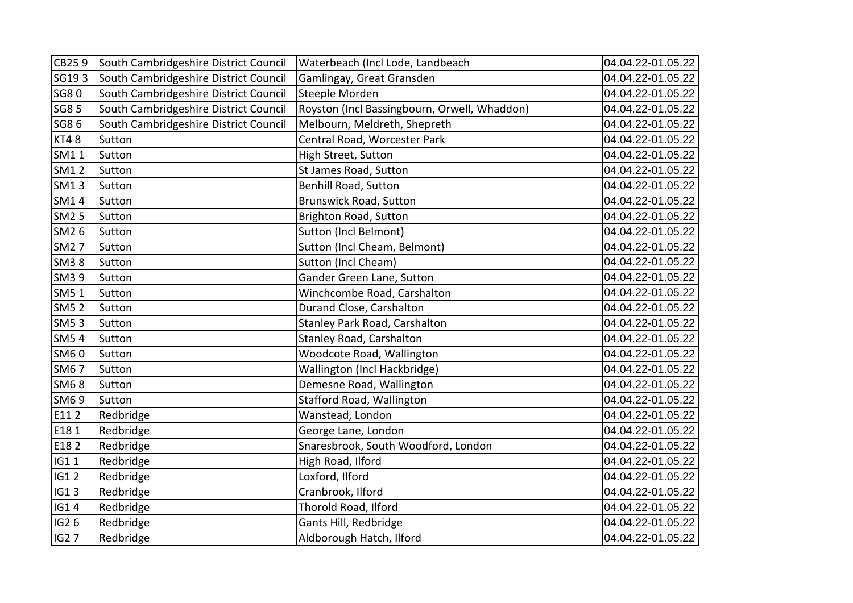| CB259       | South Cambridgeshire District Council | Waterbeach (Incl Lode, Landbeach             | 04.04.22-01.05.22 |
|-------------|---------------------------------------|----------------------------------------------|-------------------|
| SG193       | South Cambridgeshire District Council | Gamlingay, Great Gransden                    | 04.04.22-01.05.22 |
| SG80        | South Cambridgeshire District Council | Steeple Morden                               | 04.04.22-01.05.22 |
| <b>SG85</b> | South Cambridgeshire District Council | Royston (Incl Bassingbourn, Orwell, Whaddon) | 04.04.22-01.05.22 |
| SG86        | South Cambridgeshire District Council | Melbourn, Meldreth, Shepreth                 | 04.04.22-01.05.22 |
| <b>KT48</b> | Sutton                                | Central Road, Worcester Park                 | 04.04.22-01.05.22 |
| SM11        | Sutton                                | High Street, Sutton                          | 04.04.22-01.05.22 |
| <b>SM12</b> | Sutton                                | St James Road, Sutton                        | 04.04.22-01.05.22 |
| <b>SM13</b> | Sutton                                | <b>Benhill Road, Sutton</b>                  | 04.04.22-01.05.22 |
| <b>SM14</b> | Sutton                                | <b>Brunswick Road, Sutton</b>                | 04.04.22-01.05.22 |
| <b>SM25</b> | Sutton                                | Brighton Road, Sutton                        | 04.04.22-01.05.22 |
| SM26        | Sutton                                | Sutton (Incl Belmont)                        | 04.04.22-01.05.22 |
| <b>SM27</b> | Sutton                                | Sutton (Incl Cheam, Belmont)                 | 04.04.22-01.05.22 |
| <b>SM38</b> | Sutton                                | Sutton (Incl Cheam)                          | 04.04.22-01.05.22 |
| SM39        | Sutton                                | Gander Green Lane, Sutton                    | 04.04.22-01.05.22 |
| <b>SM51</b> | Sutton                                | Winchcombe Road, Carshalton                  | 04.04.22-01.05.22 |
| <b>SM52</b> | Sutton                                | Durand Close, Carshalton                     | 04.04.22-01.05.22 |
| <b>SM53</b> | Sutton                                | Stanley Park Road, Carshalton                | 04.04.22-01.05.22 |
| <b>SM54</b> | Sutton                                | <b>Stanley Road, Carshalton</b>              | 04.04.22-01.05.22 |
| <b>SM60</b> | Sutton                                | Woodcote Road, Wallington                    | 04.04.22-01.05.22 |
| <b>SM67</b> | Sutton                                | Wallington (Incl Hackbridge)                 | 04.04.22-01.05.22 |
| <b>SM68</b> | Sutton                                | Demesne Road, Wallington                     | 04.04.22-01.05.22 |
| SM69        | Sutton                                | Stafford Road, Wallington                    | 04.04.22-01.05.22 |
| E112        | Redbridge                             | Wanstead, London                             | 04.04.22-01.05.22 |
| E181        | Redbridge                             | George Lane, London                          | 04.04.22-01.05.22 |
| E18 2       | Redbridge                             | Snaresbrook, South Woodford, London          | 04.04.22-01.05.22 |
| IG11        | Redbridge                             | High Road, Ilford                            | 04.04.22-01.05.22 |
| <b>IG12</b> | Redbridge                             | Loxford, Ilford                              | 04.04.22-01.05.22 |
| <b>IG13</b> | Redbridge                             | Cranbrook, Ilford                            | 04.04.22-01.05.22 |
| <b>IG14</b> | Redbridge                             | Thorold Road, Ilford                         | 04.04.22-01.05.22 |
| <b>IG26</b> | Redbridge                             | Gants Hill, Redbridge                        | 04.04.22-01.05.22 |
| <b>IG27</b> | Redbridge                             | Aldborough Hatch, Ilford                     | 04.04.22-01.05.22 |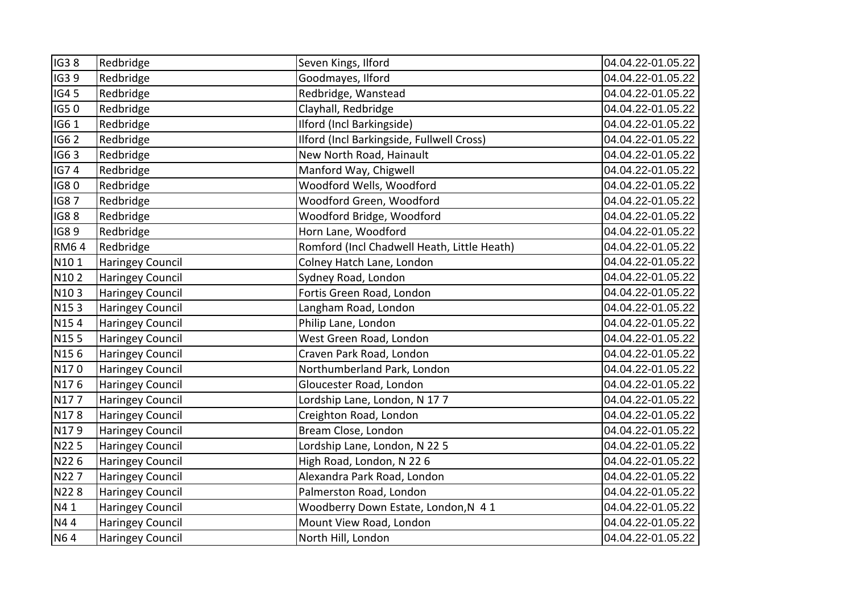| <b>IG38</b> | Redbridge               | Seven Kings, Ilford                         | 04.04.22-01.05.22 |
|-------------|-------------------------|---------------------------------------------|-------------------|
| IG3 9       | Redbridge               | Goodmayes, Ilford                           | 04.04.22-01.05.22 |
| IG4 5       | Redbridge               | Redbridge, Wanstead                         | 04.04.22-01.05.22 |
| IG50        | Redbridge               | Clayhall, Redbridge                         | 04.04.22-01.05.22 |
| IG61        | Redbridge               | Ilford (Incl Barkingside)                   | 04.04.22-01.05.22 |
| <b>IG62</b> | Redbridge               | Ilford (Incl Barkingside, Fullwell Cross)   | 04.04.22-01.05.22 |
| IG63        | Redbridge               | New North Road, Hainault                    | 04.04.22-01.05.22 |
| <b>IG74</b> | Redbridge               | Manford Way, Chigwell                       | 04.04.22-01.05.22 |
| <b>IG80</b> | Redbridge               | Woodford Wells, Woodford                    | 04.04.22-01.05.22 |
| <b>IG87</b> | Redbridge               | Woodford Green, Woodford                    | 04.04.22-01.05.22 |
| <b>IG88</b> | Redbridge               | Woodford Bridge, Woodford                   | 04.04.22-01.05.22 |
| <b>IG89</b> | Redbridge               | Horn Lane, Woodford                         | 04.04.22-01.05.22 |
| <b>RM64</b> | Redbridge               | Romford (Incl Chadwell Heath, Little Heath) | 04.04.22-01.05.22 |
| N101        | <b>Haringey Council</b> | Colney Hatch Lane, London                   | 04.04.22-01.05.22 |
| N102        | <b>Haringey Council</b> | Sydney Road, London                         | 04.04.22-01.05.22 |
| N103        | <b>Haringey Council</b> | Fortis Green Road, London                   | 04.04.22-01.05.22 |
| N153        | Haringey Council        | Langham Road, London                        | 04.04.22-01.05.22 |
| N154        | <b>Haringey Council</b> | Philip Lane, London                         | 04.04.22-01.05.22 |
| N155        | <b>Haringey Council</b> | West Green Road, London                     | 04.04.22-01.05.22 |
| N156        | <b>Haringey Council</b> | Craven Park Road, London                    | 04.04.22-01.05.22 |
| N170        | <b>Haringey Council</b> | Northumberland Park, London                 | 04.04.22-01.05.22 |
| N176        | <b>Haringey Council</b> | Gloucester Road, London                     | 04.04.22-01.05.22 |
| N177        | <b>Haringey Council</b> | Lordship Lane, London, N 177                | 04.04.22-01.05.22 |
| N178        | <b>Haringey Council</b> | Creighton Road, London                      | 04.04.22-01.05.22 |
| N179        | <b>Haringey Council</b> | Bream Close, London                         | 04.04.22-01.05.22 |
| N225        | <b>Haringey Council</b> | Lordship Lane, London, N 22 5               | 04.04.22-01.05.22 |
| N226        | <b>Haringey Council</b> | High Road, London, N 22 6                   | 04.04.22-01.05.22 |
| N227        | <b>Haringey Council</b> | Alexandra Park Road, London                 | 04.04.22-01.05.22 |
| N228        | <b>Haringey Council</b> | Palmerston Road, London                     | 04.04.22-01.05.22 |
| N41         | <b>Haringey Council</b> | Woodberry Down Estate, London, N 41         | 04.04.22-01.05.22 |
| N44         | <b>Haringey Council</b> | Mount View Road, London                     | 04.04.22-01.05.22 |
| <b>N64</b>  | <b>Haringey Council</b> | North Hill, London                          | 04.04.22-01.05.22 |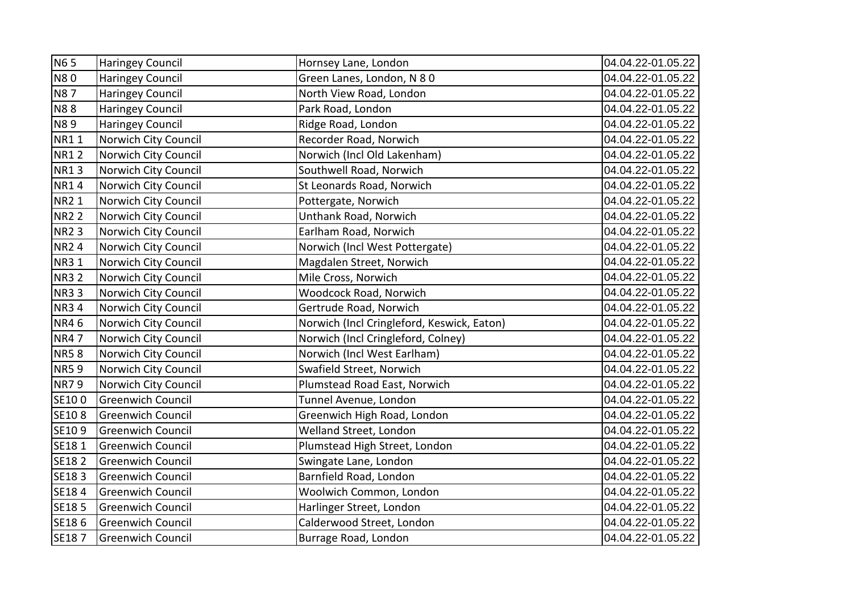| <b>N65</b>  | Haringey Council         | Hornsey Lane, London                       | 04.04.22-01.05.22 |
|-------------|--------------------------|--------------------------------------------|-------------------|
| <b>N80</b>  | <b>Haringey Council</b>  | Green Lanes, London, N 80                  | 04.04.22-01.05.22 |
| <b>N87</b>  | <b>Haringey Council</b>  | North View Road, London                    | 04.04.22-01.05.22 |
| <b>N88</b>  | <b>Haringey Council</b>  | Park Road, London                          | 04.04.22-01.05.22 |
| N89         | <b>Haringey Council</b>  | Ridge Road, London                         | 04.04.22-01.05.22 |
| <b>NR11</b> | Norwich City Council     | Recorder Road, Norwich                     | 04.04.22-01.05.22 |
| <b>NR12</b> | Norwich City Council     | Norwich (Incl Old Lakenham)                | 04.04.22-01.05.22 |
| <b>NR13</b> | Norwich City Council     | Southwell Road, Norwich                    | 04.04.22-01.05.22 |
| <b>NR14</b> | Norwich City Council     | St Leonards Road, Norwich                  | 04.04.22-01.05.22 |
| <b>NR21</b> | Norwich City Council     | Pottergate, Norwich                        | 04.04.22-01.05.22 |
| <b>NR22</b> | Norwich City Council     | Unthank Road, Norwich                      | 04.04.22-01.05.22 |
| <b>NR23</b> | Norwich City Council     | Earlham Road, Norwich                      | 04.04.22-01.05.22 |
| <b>NR24</b> | Norwich City Council     | Norwich (Incl West Pottergate)             | 04.04.22-01.05.22 |
| <b>NR31</b> | Norwich City Council     | Magdalen Street, Norwich                   | 04.04.22-01.05.22 |
| <b>NR32</b> | Norwich City Council     | Mile Cross, Norwich                        | 04.04.22-01.05.22 |
| <b>NR33</b> | Norwich City Council     | Woodcock Road, Norwich                     | 04.04.22-01.05.22 |
| <b>NR34</b> | Norwich City Council     | Gertrude Road, Norwich                     | 04.04.22-01.05.22 |
| <b>NR46</b> | Norwich City Council     | Norwich (Incl Cringleford, Keswick, Eaton) | 04.04.22-01.05.22 |
| <b>NR47</b> | Norwich City Council     | Norwich (Incl Cringleford, Colney)         | 04.04.22-01.05.22 |
| <b>NR58</b> | Norwich City Council     | Norwich (Incl West Earlham)                | 04.04.22-01.05.22 |
| <b>NR59</b> | Norwich City Council     | Swafield Street, Norwich                   | 04.04.22-01.05.22 |
| <b>NR79</b> | Norwich City Council     | Plumstead Road East, Norwich               | 04.04.22-01.05.22 |
| SE100       | <b>Greenwich Council</b> | Tunnel Avenue, London                      | 04.04.22-01.05.22 |
| SE108       | <b>Greenwich Council</b> | Greenwich High Road, London                | 04.04.22-01.05.22 |
| SE109       | <b>Greenwich Council</b> | Welland Street, London                     | 04.04.22-01.05.22 |
| SE181       | <b>Greenwich Council</b> | Plumstead High Street, London              | 04.04.22-01.05.22 |
| SE18 2      | <b>Greenwich Council</b> | Swingate Lane, London                      | 04.04.22-01.05.22 |
| SE183       | <b>Greenwich Council</b> | Barnfield Road, London                     | 04.04.22-01.05.22 |
| SE184       | <b>Greenwich Council</b> | Woolwich Common, London                    | 04.04.22-01.05.22 |
| SE18 5      | <b>Greenwich Council</b> | Harlinger Street, London                   | 04.04.22-01.05.22 |
| SE186       | <b>Greenwich Council</b> | Calderwood Street, London                  | 04.04.22-01.05.22 |
| SE187       | <b>Greenwich Council</b> | Burrage Road, London                       | 04.04.22-01.05.22 |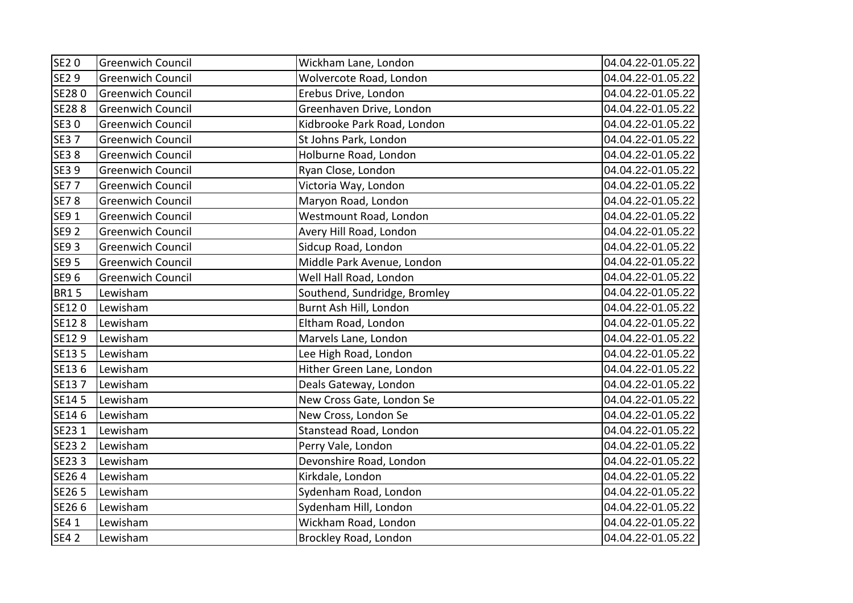| <b>SE20</b>  | <b>Greenwich Council</b> | Wickham Lane, London         | 04.04.22-01.05.22 |
|--------------|--------------------------|------------------------------|-------------------|
| <b>SE29</b>  | <b>Greenwich Council</b> | Wolvercote Road, London      | 04.04.22-01.05.22 |
| SE280        | <b>Greenwich Council</b> | Erebus Drive, London         | 04.04.22-01.05.22 |
| SE288        | <b>Greenwich Council</b> | Greenhaven Drive, London     | 04.04.22-01.05.22 |
| <b>SE30</b>  | <b>Greenwich Council</b> | Kidbrooke Park Road, London  | 04.04.22-01.05.22 |
| <b>SE37</b>  | <b>Greenwich Council</b> | St Johns Park, London        | 04.04.22-01.05.22 |
| <b>SE38</b>  | <b>Greenwich Council</b> | Holburne Road, London        | 04.04.22-01.05.22 |
| SE3 9        | <b>Greenwich Council</b> | Ryan Close, London           | 04.04.22-01.05.22 |
| <b>SE77</b>  | <b>Greenwich Council</b> | Victoria Way, London         | 04.04.22-01.05.22 |
| <b>SE78</b>  | <b>Greenwich Council</b> | Maryon Road, London          | 04.04.22-01.05.22 |
| <b>SE91</b>  | <b>Greenwich Council</b> | Westmount Road, London       | 04.04.22-01.05.22 |
| <b>SE9 2</b> | <b>Greenwich Council</b> | Avery Hill Road, London      | 04.04.22-01.05.22 |
| <b>SE93</b>  | <b>Greenwich Council</b> | Sidcup Road, London          | 04.04.22-01.05.22 |
| <b>SE9 5</b> | <b>Greenwich Council</b> | Middle Park Avenue, London   | 04.04.22-01.05.22 |
| SE9 6        | <b>Greenwich Council</b> | Well Hall Road, London       | 04.04.22-01.05.22 |
| <b>BR15</b>  | Lewisham                 | Southend, Sundridge, Bromley | 04.04.22-01.05.22 |
| SE120        | Lewisham                 | Burnt Ash Hill, London       | 04.04.22-01.05.22 |
| SE128        | Lewisham                 | Eltham Road, London          | 04.04.22-01.05.22 |
| SE129        | Lewisham                 | Marvels Lane, London         | 04.04.22-01.05.22 |
| SE13 5       | Lewisham                 | Lee High Road, London        | 04.04.22-01.05.22 |
| SE136        | Lewisham                 | Hither Green Lane, London    | 04.04.22-01.05.22 |
| SE137        | Lewisham                 | Deals Gateway, London        | 04.04.22-01.05.22 |
| SE14 5       | Lewisham                 | New Cross Gate, London Se    | 04.04.22-01.05.22 |
| SE146        | Lewisham                 | New Cross, London Se         | 04.04.22-01.05.22 |
| SE23 1       | Lewisham                 | Stanstead Road, London       | 04.04.22-01.05.22 |
| SE23 2       | Lewisham                 | Perry Vale, London           | 04.04.22-01.05.22 |
| SE233        | Lewisham                 | Devonshire Road, London      | 04.04.22-01.05.22 |
| SE264        | Lewisham                 | Kirkdale, London             | 04.04.22-01.05.22 |
| SE26 5       | Lewisham                 | Sydenham Road, London        | 04.04.22-01.05.22 |
| SE26 6       | Lewisham                 | Sydenham Hill, London        | 04.04.22-01.05.22 |
| SE4 1        | Lewisham                 | Wickham Road, London         | 04.04.22-01.05.22 |
| <b>SE4 2</b> | Lewisham                 | Brockley Road, London        | 04.04.22-01.05.22 |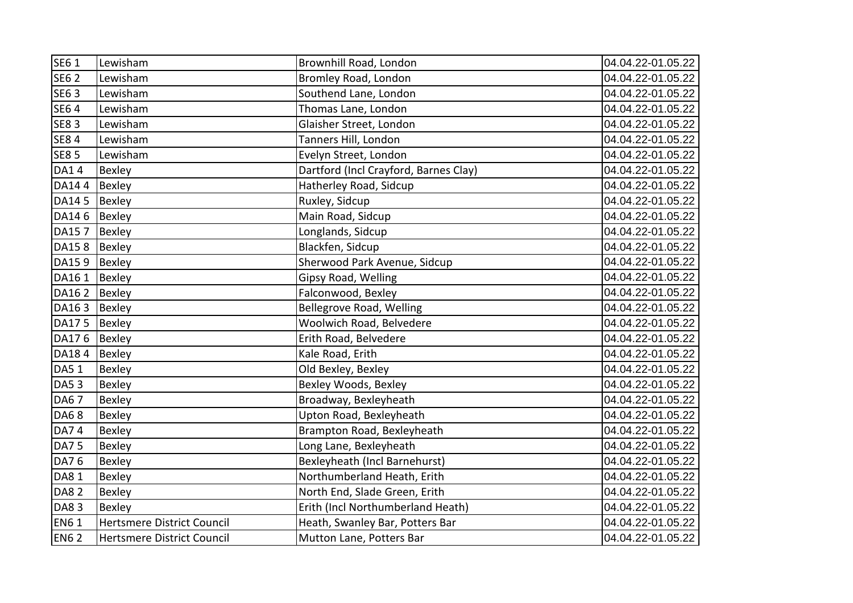| <b>SE61</b>   | Lewisham                   | Brownhill Road, London                | 04.04.22-01.05.22 |
|---------------|----------------------------|---------------------------------------|-------------------|
| <b>SE6 2</b>  | Lewisham                   | Bromley Road, London                  | 04.04.22-01.05.22 |
| <b>SE63</b>   | Lewisham                   | Southend Lane, London                 | 04.04.22-01.05.22 |
| <b>SE64</b>   | Lewisham                   | Thomas Lane, London                   | 04.04.22-01.05.22 |
| <b>SE83</b>   | Lewisham                   | Glaisher Street, London               | 04.04.22-01.05.22 |
| <b>SE84</b>   | Lewisham                   | Tanners Hill, London                  | 04.04.22-01.05.22 |
| <b>SE8 5</b>  | Lewisham                   | Evelyn Street, London                 | 04.04.22-01.05.22 |
| DA14          | <b>Bexley</b>              | Dartford (Incl Crayford, Barnes Clay) | 04.04.22-01.05.22 |
| DA144         | Bexley                     | Hatherley Road, Sidcup                | 04.04.22-01.05.22 |
| DA14 5 Bexley |                            | Ruxley, Sidcup                        | 04.04.22-01.05.22 |
| DA14 6 Bexley |                            | Main Road, Sidcup                     | 04.04.22-01.05.22 |
| DA157         | Bexley                     | Longlands, Sidcup                     | 04.04.22-01.05.22 |
| DA15 8 Bexley |                            | Blackfen, Sidcup                      | 04.04.22-01.05.22 |
| DA15 9 Bexley |                            | Sherwood Park Avenue, Sidcup          | 04.04.22-01.05.22 |
| DA16 1 Bexley |                            | Gipsy Road, Welling                   | 04.04.22-01.05.22 |
| DA16 2 Bexley |                            | Falconwood, Bexley                    | 04.04.22-01.05.22 |
| DA16 3 Bexley |                            | Bellegrove Road, Welling              | 04.04.22-01.05.22 |
| DA17 5 Bexley |                            | Woolwich Road, Belvedere              | 04.04.22-01.05.22 |
| DA17 6 Bexley |                            | Erith Road, Belvedere                 | 04.04.22-01.05.22 |
| DA184         | Bexley                     | Kale Road, Erith                      | 04.04.22-01.05.22 |
| DA5 1         | <b>Bexley</b>              | Old Bexley, Bexley                    | 04.04.22-01.05.22 |
| <b>DA53</b>   | <b>Bexley</b>              | Bexley Woods, Bexley                  | 04.04.22-01.05.22 |
| DA67          | <b>Bexley</b>              | Broadway, Bexleyheath                 | 04.04.22-01.05.22 |
| DA68          | <b>Bexley</b>              | Upton Road, Bexleyheath               | 04.04.22-01.05.22 |
| DA74          | Bexley                     | Brampton Road, Bexleyheath            | 04.04.22-01.05.22 |
| DA7 5         | <b>Bexley</b>              | Long Lane, Bexleyheath                | 04.04.22-01.05.22 |
| DA7 6         | Bexley                     | Bexleyheath (Incl Barnehurst)         | 04.04.22-01.05.22 |
| <b>DA81</b>   | <b>Bexley</b>              | Northumberland Heath, Erith           | 04.04.22-01.05.22 |
| <b>DA82</b>   | <b>Bexley</b>              | North End, Slade Green, Erith         | 04.04.22-01.05.22 |
| DA8 3         | Bexley                     | Erith (Incl Northumberland Heath)     | 04.04.22-01.05.22 |
| <b>EN61</b>   | Hertsmere District Council | Heath, Swanley Bar, Potters Bar       | 04.04.22-01.05.22 |
| <b>EN62</b>   | Hertsmere District Council | Mutton Lane, Potters Bar              | 04.04.22-01.05.22 |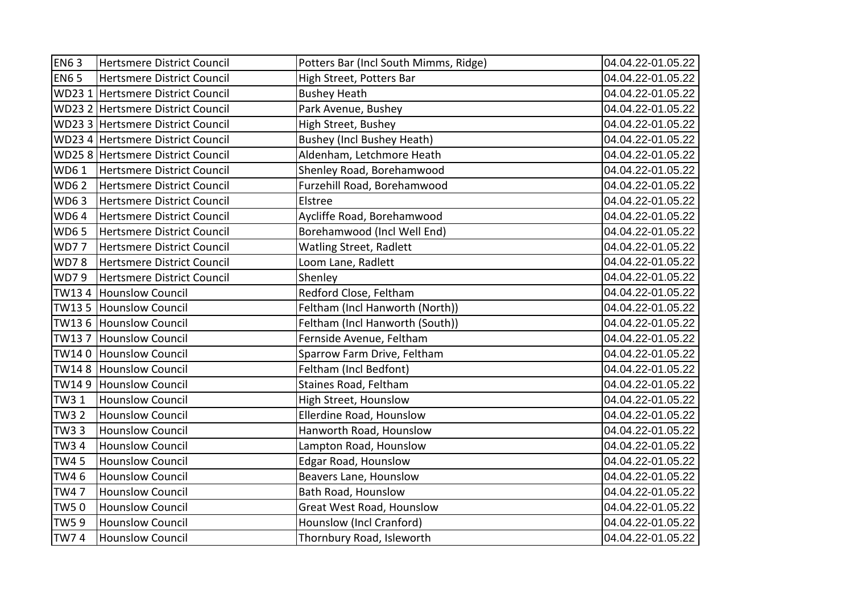| <b>EN63</b>  | Hertsmere District Council        | Potters Bar (Incl South Mimms, Ridge) | 04.04.22-01.05.22 |
|--------------|-----------------------------------|---------------------------------------|-------------------|
| <b>EN65</b>  | <b>Hertsmere District Council</b> | High Street, Potters Bar              | 04.04.22-01.05.22 |
|              | WD23 1 Hertsmere District Council | <b>Bushey Heath</b>                   | 04.04.22-01.05.22 |
|              | WD23 2 Hertsmere District Council | Park Avenue, Bushey                   | 04.04.22-01.05.22 |
|              | WD23 3 Hertsmere District Council | High Street, Bushey                   | 04.04.22-01.05.22 |
|              | WD23 4 Hertsmere District Council | <b>Bushey (Incl Bushey Heath)</b>     | 04.04.22-01.05.22 |
|              | WD25 8 Hertsmere District Council | Aldenham, Letchmore Heath             | 04.04.22-01.05.22 |
| WD61         | Hertsmere District Council        | Shenley Road, Borehamwood             | 04.04.22-01.05.22 |
| <b>WD62</b>  | Hertsmere District Council        | Furzehill Road, Borehamwood           | 04.04.22-01.05.22 |
| WD63         | Hertsmere District Council        | Elstree                               | 04.04.22-01.05.22 |
| WD64         | Hertsmere District Council        | Aycliffe Road, Borehamwood            | 04.04.22-01.05.22 |
| <b>WD65</b>  | Hertsmere District Council        | Borehamwood (Incl Well End)           | 04.04.22-01.05.22 |
| <b>WD77</b>  | Hertsmere District Council        | <b>Watling Street, Radlett</b>        | 04.04.22-01.05.22 |
| <b>WD78</b>  | Hertsmere District Council        | Loom Lane, Radlett                    | 04.04.22-01.05.22 |
| <b>WD79</b>  | Hertsmere District Council        | Shenley                               | 04.04.22-01.05.22 |
|              | TW13 4 Hounslow Council           | Redford Close, Feltham                | 04.04.22-01.05.22 |
|              | TW13 5 Hounslow Council           | Feltham (Incl Hanworth (North))       | 04.04.22-01.05.22 |
|              | TW13 6 Hounslow Council           | Feltham (Incl Hanworth (South))       | 04.04.22-01.05.22 |
|              | TW13 7 Hounslow Council           | Fernside Avenue, Feltham              | 04.04.22-01.05.22 |
|              | TW14 0 Hounslow Council           | Sparrow Farm Drive, Feltham           | 04.04.22-01.05.22 |
|              | TW14 8 Hounslow Council           | Feltham (Incl Bedfont)                | 04.04.22-01.05.22 |
|              | TW14 9 Hounslow Council           | Staines Road, Feltham                 | 04.04.22-01.05.22 |
| <b>TW3 1</b> | Hounslow Council                  | High Street, Hounslow                 | 04.04.22-01.05.22 |
| <b>TW3 2</b> | Hounslow Council                  | Ellerdine Road, Hounslow              | 04.04.22-01.05.22 |
| <b>TW33</b>  | <b>Hounslow Council</b>           | Hanworth Road, Hounslow               | 04.04.22-01.05.22 |
| <b>TW34</b>  | <b>Hounslow Council</b>           | Lampton Road, Hounslow                | 04.04.22-01.05.22 |
| <b>TW45</b>  | <b>Hounslow Council</b>           | Edgar Road, Hounslow                  | 04.04.22-01.05.22 |
| TW4 6        | <b>Hounslow Council</b>           | Beavers Lane, Hounslow                | 04.04.22-01.05.22 |
| <b>TW47</b>  | <b>Hounslow Council</b>           | Bath Road, Hounslow                   | 04.04.22-01.05.22 |
| <b>TW50</b>  | <b>Hounslow Council</b>           | Great West Road, Hounslow             | 04.04.22-01.05.22 |
| <b>TW59</b>  | <b>Hounslow Council</b>           | Hounslow (Incl Cranford)              | 04.04.22-01.05.22 |
| <b>TW74</b>  | <b>Hounslow Council</b>           | Thornbury Road, Isleworth             | 04.04.22-01.05.22 |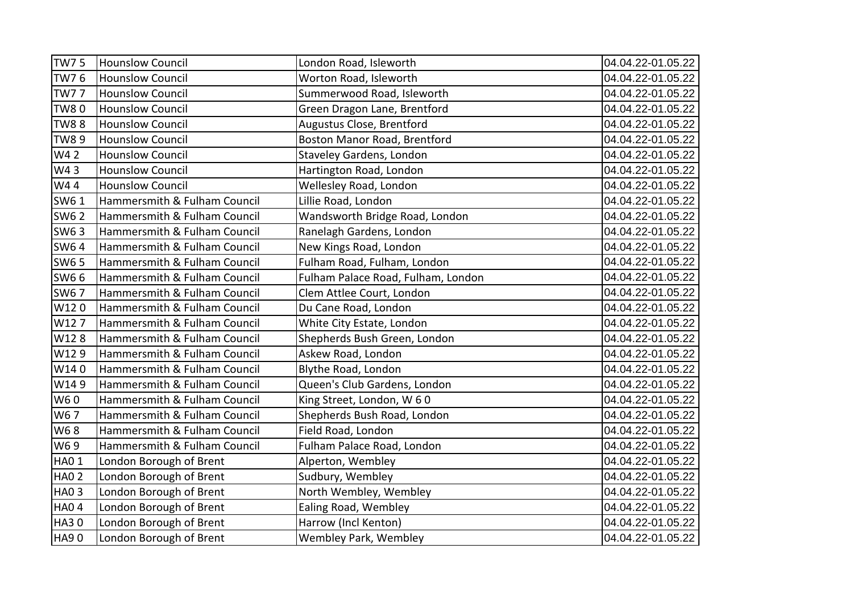| <b>TW75</b> | <b>Hounslow Council</b>      | London Road, Isleworth             | 04.04.22-01.05.22 |
|-------------|------------------------------|------------------------------------|-------------------|
| TW7 6       | <b>Hounslow Council</b>      | Worton Road, Isleworth             | 04.04.22-01.05.22 |
| <b>TW77</b> | Hounslow Council             | Summerwood Road, Isleworth         | 04.04.22-01.05.22 |
| <b>TW80</b> | <b>Hounslow Council</b>      | Green Dragon Lane, Brentford       | 04.04.22-01.05.22 |
| <b>TW88</b> | <b>Hounslow Council</b>      | Augustus Close, Brentford          | 04.04.22-01.05.22 |
| <b>TW89</b> | <b>Hounslow Council</b>      | Boston Manor Road, Brentford       | 04.04.22-01.05.22 |
| W4 2        | <b>Hounslow Council</b>      | <b>Staveley Gardens, London</b>    | 04.04.22-01.05.22 |
| W43         | <b>Hounslow Council</b>      | Hartington Road, London            | 04.04.22-01.05.22 |
| W44         | <b>Hounslow Council</b>      | Wellesley Road, London             | 04.04.22-01.05.22 |
| SW6 1       | Hammersmith & Fulham Council | Lillie Road, London                | 04.04.22-01.05.22 |
| <b>SW62</b> | Hammersmith & Fulham Council | Wandsworth Bridge Road, London     | 04.04.22-01.05.22 |
| SW63        | Hammersmith & Fulham Council | Ranelagh Gardens, London           | 04.04.22-01.05.22 |
| <b>SW64</b> | Hammersmith & Fulham Council | New Kings Road, London             | 04.04.22-01.05.22 |
| <b>SW65</b> | Hammersmith & Fulham Council | Fulham Road, Fulham, London        | 04.04.22-01.05.22 |
| SW66        | Hammersmith & Fulham Council | Fulham Palace Road, Fulham, London | 04.04.22-01.05.22 |
| <b>SW67</b> | Hammersmith & Fulham Council | Clem Attlee Court, London          | 04.04.22-01.05.22 |
| W120        | Hammersmith & Fulham Council | Du Cane Road, London               | 04.04.22-01.05.22 |
| W127        | Hammersmith & Fulham Council | White City Estate, London          | 04.04.22-01.05.22 |
| W128        | Hammersmith & Fulham Council | Shepherds Bush Green, London       | 04.04.22-01.05.22 |
| W129        | Hammersmith & Fulham Council | Askew Road, London                 | 04.04.22-01.05.22 |
| W140        | Hammersmith & Fulham Council | Blythe Road, London                | 04.04.22-01.05.22 |
| W149        | Hammersmith & Fulham Council | Queen's Club Gardens, London       | 04.04.22-01.05.22 |
| W60         | Hammersmith & Fulham Council | King Street, London, W 60          | 04.04.22-01.05.22 |
| W67         | Hammersmith & Fulham Council | Shepherds Bush Road, London        | 04.04.22-01.05.22 |
| W68         | Hammersmith & Fulham Council | Field Road, London                 | 04.04.22-01.05.22 |
| W69         | Hammersmith & Fulham Council | Fulham Palace Road, London         | 04.04.22-01.05.22 |
| <b>HA01</b> | London Borough of Brent      | Alperton, Wembley                  | 04.04.22-01.05.22 |
| <b>HA02</b> | London Borough of Brent      | Sudbury, Wembley                   | 04.04.22-01.05.22 |
| HA0 3       | London Borough of Brent      | North Wembley, Wembley             | 04.04.22-01.05.22 |
| <b>HA04</b> | London Borough of Brent      | Ealing Road, Wembley               | 04.04.22-01.05.22 |
| <b>HA30</b> | London Borough of Brent      | Harrow (Incl Kenton)               | 04.04.22-01.05.22 |
| <b>HA90</b> | London Borough of Brent      | Wembley Park, Wembley              | 04.04.22-01.05.22 |